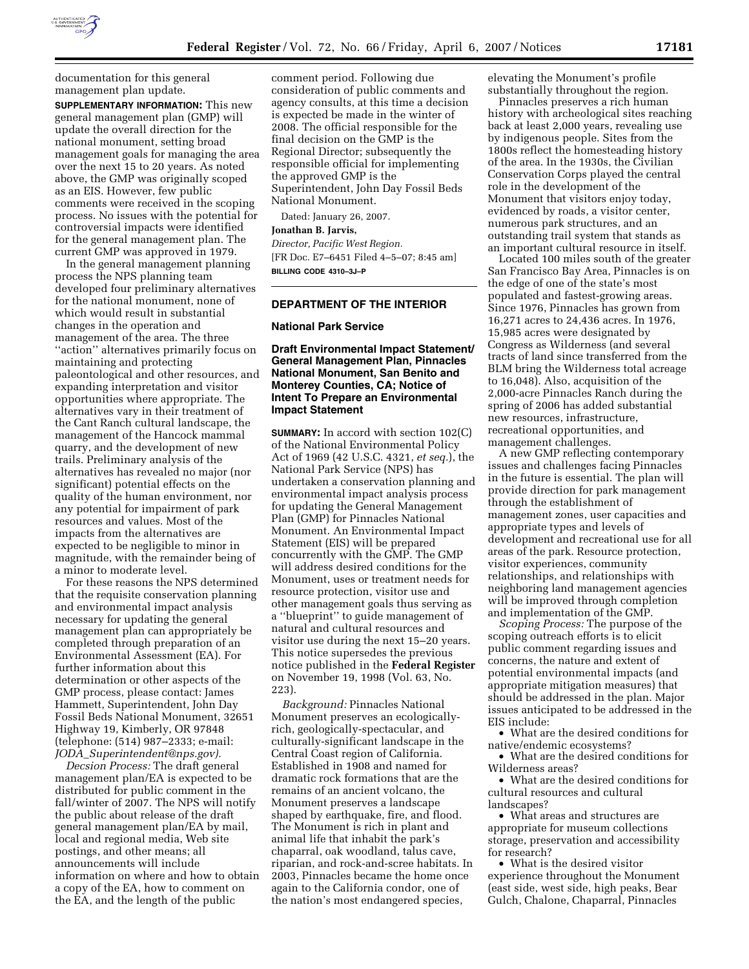

documentation for this general management plan update.

**SUPPLEMENTARY INFORMATION:** This new general management plan (GMP) will update the overall direction for the national monument, setting broad management goals for managing the area over the next 15 to 20 years. As noted above, the GMP was originally scoped as an EIS. However, few public comments were received in the scoping process. No issues with the potential for controversial impacts were identified for the general management plan. The current GMP was approved in 1979.

In the general management planning process the NPS planning team developed four preliminary alternatives for the national monument, none of which would result in substantial changes in the operation and management of the area. The three ''action'' alternatives primarily focus on maintaining and protecting paleontological and other resources, and expanding interpretation and visitor opportunities where appropriate. The alternatives vary in their treatment of the Cant Ranch cultural landscape, the management of the Hancock mammal quarry, and the development of new trails. Preliminary analysis of the alternatives has revealed no major (nor significant) potential effects on the quality of the human environment, nor any potential for impairment of park resources and values. Most of the impacts from the alternatives are expected to be negligible to minor in magnitude, with the remainder being of a minor to moderate level.

For these reasons the NPS determined that the requisite conservation planning and environmental impact analysis necessary for updating the general management plan can appropriately be completed through preparation of an Environmental Assessment (EA). For further information about this determination or other aspects of the GMP process, please contact: James Hammett, Superintendent, John Day Fossil Beds National Monument, 32651 Highway 19, Kimberly, OR 97848 (telephone: (514) 987–2333; e-mail: *JODA*\_*Superintendent@nps.gov).* 

*Decsion Process:* The draft general management plan/EA is expected to be distributed for public comment in the fall/winter of 2007. The NPS will notify the public about release of the draft general management plan/EA by mail, local and regional media, Web site postings, and other means; all announcements will include information on where and how to obtain a copy of the EA, how to comment on the EA, and the length of the public

comment period. Following due consideration of public comments and agency consults, at this time a decision is expected be made in the winter of 2008. The official responsible for the final decision on the GMP is the Regional Director; subsequently the responsible official for implementing the approved GMP is the Superintendent, John Day Fossil Beds National Monument.

Dated: January 26, 2007.

**Jonathan B. Jarvis,**  *Director, Pacific West Region.*  [FR Doc. E7–6451 Filed 4–5–07; 8:45 am] **BILLING CODE 4310–3J–P** 

# **DEPARTMENT OF THE INTERIOR**

# **National Park Service**

# **Draft Environmental Impact Statement/ General Management Plan, Pinnacles National Monument, San Benito and Monterey Counties, CA; Notice of Intent To Prepare an Environmental Impact Statement**

**SUMMARY:** In accord with section 102(C) of the National Environmental Policy Act of 1969 (42 U.S.C. 4321, *et seq.*), the National Park Service (NPS) has undertaken a conservation planning and environmental impact analysis process for updating the General Management Plan (GMP) for Pinnacles National Monument. An Environmental Impact Statement (EIS) will be prepared concurrently with the GMP. The GMP will address desired conditions for the Monument, uses or treatment needs for resource protection, visitor use and other management goals thus serving as a ''blueprint'' to guide management of natural and cultural resources and visitor use during the next 15–20 years. This notice supersedes the previous notice published in the **Federal Register**  on November 19, 1998 (Vol. 63, No. 223).

*Background:* Pinnacles National Monument preserves an ecologicallyrich, geologically-spectacular, and culturally-significant landscape in the Central Coast region of California. Established in 1908 and named for dramatic rock formations that are the remains of an ancient volcano, the Monument preserves a landscape shaped by earthquake, fire, and flood. The Monument is rich in plant and animal life that inhabit the park's chaparral, oak woodland, talus cave, riparian, and rock-and-scree habitats. In 2003, Pinnacles became the home once again to the California condor, one of the nation's most endangered species,

elevating the Monument's profile substantially throughout the region.

Pinnacles preserves a rich human history with archeological sites reaching back at least 2,000 years, revealing use by indigenous people. Sites from the 1800s reflect the homesteading history of the area. In the 1930s, the Civilian Conservation Corps played the central role in the development of the Monument that visitors enjoy today, evidenced by roads, a visitor center, numerous park structures, and an outstanding trail system that stands as an important cultural resource in itself.

Located 100 miles south of the greater San Francisco Bay Area, Pinnacles is on the edge of one of the state's most populated and fastest-growing areas. Since 1976, Pinnacles has grown from 16,271 acres to 24,436 acres. In 1976, 15,985 acres were designated by Congress as Wilderness (and several tracts of land since transferred from the BLM bring the Wilderness total acreage to 16,048). Also, acquisition of the 2,000-acre Pinnacles Ranch during the spring of 2006 has added substantial new resources, infrastructure, recreational opportunities, and management challenges.

A new GMP reflecting contemporary issues and challenges facing Pinnacles in the future is essential. The plan will provide direction for park management through the establishment of management zones, user capacities and appropriate types and levels of development and recreational use for all areas of the park. Resource protection, visitor experiences, community relationships, and relationships with neighboring land management agencies will be improved through completion and implementation of the GMP.

*Scoping Process:* The purpose of the scoping outreach efforts is to elicit public comment regarding issues and concerns, the nature and extent of potential environmental impacts (and appropriate mitigation measures) that should be addressed in the plan. Major issues anticipated to be addressed in the EIS include:

• What are the desired conditions for native/endemic ecosystems?

• What are the desired conditions for Wilderness areas?

• What are the desired conditions for cultural resources and cultural landscapes?

• What areas and structures are appropriate for museum collections storage, preservation and accessibility for research?

• What is the desired visitor experience throughout the Monument (east side, west side, high peaks, Bear Gulch, Chalone, Chaparral, Pinnacles